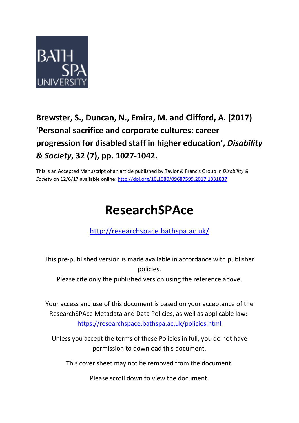

## **Brewster, S., Duncan, N., Emira, M. and Clifford, A. (2017) 'Personal sacrifice and corporate cultures: career progression for disabled staff in higher education' ,** *Disability & Society***, 32 (7), pp. 1027-1042.**

This is an Accepted Manuscript of an article published by Taylor & Francis Group in *Disability & Society* on 12/6/17 available online: <http://doi.org/10.1080/09687599.2017.1331837>

# **ResearchSPAce**

### <http://researchspace.bathspa.ac.uk/>

This pre-published version is made available in accordance with publisher policies.

Please cite only the published version using the reference above.

Your access and use of this document is based on your acceptance of the ResearchSPAce Metadata and Data Policies, as well as applicable law: https://researchspace.bathspa.ac.uk/policies.html

Unless you accept the terms of these Policies in full, you do not have permission to download this document.

This cover sheet may not be removed from the document.

Please scroll down to view the document.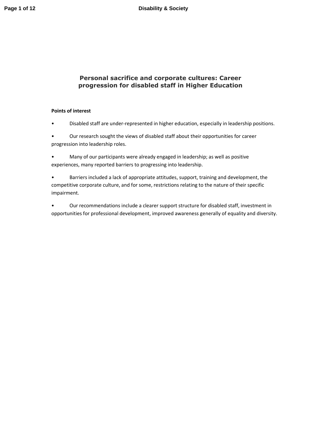#### **Personal sacrifice and corporate cultures: Career progression for disabled staff in Higher Education**

#### **Points of interest**

- Disabled staff are under-represented in higher education, especially in leadership positions.
- Our research sought the views of disabled staff about their opportunities for career progression into leadership roles.
- Many of our participants were already engaged in leadership; as well as positive experiences, many reported barriers to progressing into leadership.
- Barriers included a lack of appropriate attitudes, support, training and development, the competitive corporate culture, and for some, restrictions relating to the nature of their specific impairment.
- Our recommendations include a clearer support structure for disabled staff, investment in opportunities for professional development, improved awareness generally of equality and diversity.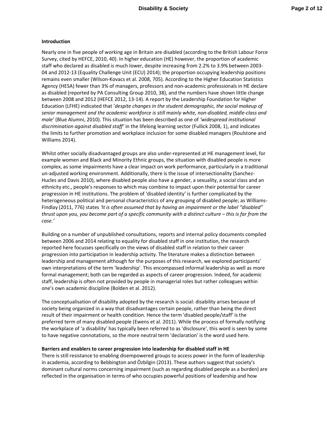#### **Introduction**

Nearly one in five people of working age in Britain are disabled (according to the British Labour Force Survey, cited by HEFCE, 2010, 40). In higher education (HE) however, the proportion of academic staff who declared as disabled is much lower, despite increasing from 2.2% to 3.9% between 2003- 04 and 2012-13 (Equality Challenge Unit (ECU) 2014); the proportion occupying leadership positions remains even smaller (Wilson-Kovacs et al. 2008, 705). According to the Higher Education Statistics Agency (HESA) fewer than 3% of managers, professors and non-academic professionals in HE declare as disabled (reported by PA Consulting Group 2010, 38), and the numbers have shown little change between 2008 and 2012 (HEFCE 2012, 13-14). A report by the Leadership Foundation for Higher Education (LFHE) indicated that '*despite changes in the student demographic, the social makeup of senior management and the academic workforce is still mainly white, non-disabled, middle-class and male'* (Blue Alumni, 2010). This situation has been described as one of *'widespread institutional discrimination against disabled staff'* in the lifelong learning sector (Fullick 2008, 1), and indicates the limits to further promotion and workplace inclusion for some disabled managers (Roulstone and Williams 2014).

Whilst other socially disadvantaged groups are also under-represented at HE management level, for example women and Black and Minority Ethnic groups, the situation with disabled people is more complex, as some impairments have a clear impact on work performance, particularly in a traditional un-adjusted working environment. Additionally, there is the issue of intersectionality (Sanchez-Hucles and Davis 2010), where disabled people also have a gender, a sexuality, a social class and an ethnicity etc., people's responses to which may combine to impact upon their potential for career progression in HE institutions. The problem of 'disabled identity' is further complicated by the heterogeneous political and personal characteristics of any grouping of disabled people; as Williams-Findlay (2011, 776) states *'It is often assumed that by having an impairment or the label "disabled" thrust upon you, you become part of a specific community with a distinct culture – this is far from the case.'*

Building on a number of unpublished consultations, reports and internal policy documents compiled between 2006 and 2014 relating to equality for disabled staff in one institution, the research reported here focusses specifically on the views of disabled staff in relation to their career progression into participation in leadership activity. The literature makes a distinction between leadership and management although for the purposes of this research, we explored participants' own interpretations of the term 'leadership'. This encompassed informal leadership as well as more formal management; both can be regarded as aspects of career progression. Indeed, for academic staff, leadership is often not provided by people in managerial roles but rather colleagues within one's own academic discipline (Bolden et al. 2012).

The conceptualisation of disability adopted by the research is social: disability arises because of society being organized in a way that disadvantages certain people, rather than being the direct result of their impairment or health condition. Hence the term 'disabled people/staff' is the preferred term of many disabled people (Ewens et al. 2011). While the process of formally notifying the workplace of 'a disability' has typically been referred to as 'disclosure', this word is seen by some to have negative connotations, so the more neutral term 'declaration' is the word used here.

#### **Barriers and enablers to career progression into leadership for disabled staff in HE**

There is still resistance to enabling disempowered groups to access power in the form of leadership in academia, according to Bebbington and Özbilgin (2013). These authors suggest that society's dominant cultural norms concerning impairment (such as regarding disabled people as a burden) are reflected in the organisation in terms of who occupies powerful positions of leadership and how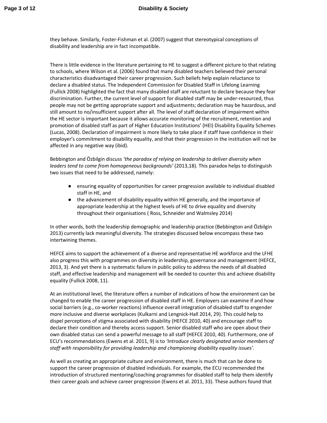they behave. Similarly, Foster-Fishman et al. (2007) suggest that stereotypical conceptions of disability and leadership are in fact incompatible.

There is little evidence in the literature pertaining to HE to suggest a different picture to that relating to schools, where Wilson et al. (2006) found that many disabled teachers believed their personal characteristics disadvantaged their career progression. Such beliefs help explain reluctance to declare a disabled status. The Independent Commission for Disabled Staff in Lifelong Learning (Fullick 2008) highlighted the fact that many disabled staff are reluctant to declare because they fear discrimination. Further, the current level of support for disabled staff may be under-resourced, thus people may not be getting appropriate support and adjustments; declaration may be hazardous, and still amount to no/insufficient support after all. The level of staff declaration of impairment within the HE sector is important because it allows accurate monitoring of the recruitment, retention and promotion of disabled staff as part of Higher Education Institutions' (HEI) Disability Equality Schemes (Lucas, 2008). Declaration of impairment is more likely to take place if staff have confidence in their employer's commitment to disability equality, and that their progression in the institution will not be affected in any negative way (ibid).

Bebbington and Özbilgin discuss *'the paradox of relying on leadership to deliver diversity when leaders tend to come from homogeneous backgrounds'* (2013,18). This paradox helps to distinguish two issues that need to be addressed, namely:

- ensuring equality of opportunities for career progression available to individual disabled staff in HE, and
- the advancement of disability equality within HE generally, and the importance of appropriate leadership at the highest levels of HE to drive equality and diversity throughout their organisations ( Ross, Schneider and Walmsley 2014)

In other words, both the leadership demographic and leadership practice (Bebbington and Özbilgin 2013) currently lack meaningful diversity. The strategies discussed below encompass these two intertwining themes.

HEFCE aims to support the achievement of a diverse and representative HE workforce and the LFHE also progress this with programmes on diversity in leadership, governance and management (HEFCE, 2013, 3). And yet there is a systematic failure in public policy to address the needs of all disabled staff, and effective leadership and management will be needed to counter this and achieve disability equality (Fullick 2008, 11).

At an institutional level, the literature offers a number of indications of how the environment can be changed to enable the career progression of disabled staff in HE. Employers can examine if and how social barriers (e.g., co-worker reactions) influence overall integration of disabled staff to engender more inclusive and diverse workplaces (Kulkarni and Lengnick-Hall 2014, 29). This could help to dispel perceptions of stigma associated with disability (HEFCE 2010, 40) and encourage staff to declare their condition and thereby access support. Senior disabled staff who are open about their own disabled status can send a powerful message to all staff (HEFCE 2010, 40). Furthermore, one of ECU's recommendations (Ewens et al. 2011, 9) is to *'Introduce clearly designated senior members of staff with responsibility for providing leadership and championing disability equality issues'.* 

As well as creating an appropriate culture and environment, there is much that can be done to support the career progression of disabled individuals. For example, the ECU recommended the introduction of structured mentoring/coaching programmes for disabled staff to help them identify their career goals and achieve career progression (Ewens et al. 2011, 33). These authors found that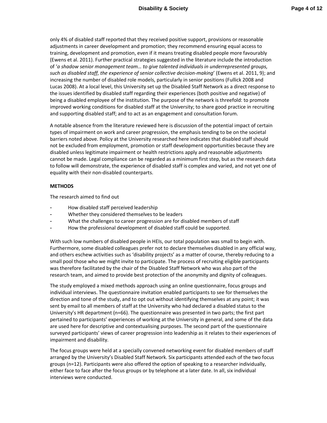only 4% of disabled staff reported that they received positive support, provisions or reasonable adjustments in career development and promotion; they recommend ensuring equal access to training, development and promotion, even if it means treating disabled people more favourably (Ewens et al. 2011). Further practical strategies suggested in the literature include the introduction of '*a shadow senior management team… to give talented individuals in underrepresented groups, such as disabled staff, the experience of senior collective decision-making*' (Ewens et al. 2011, 9); and increasing the number of disabled role models, particularly in senior positions (Fullick 2008 and Lucas 2008). At a local level, this University set up the Disabled Staff Network as a direct response to the issues identified by disabled staff regarding their experiences (both positive and negative) of being a disabled employee of the institution. The purpose of the network is threefold: to promote improved working conditions for disabled staff at the University; to share good practice in recruiting and supporting disabled staff; and to act as an engagement and consultation forum.

A notable absence from the literature reviewed here is discussion of the potential impact of certain types of impairment on work and career progression, the emphasis tending to be on the societal barriers noted above. Policy at the University researched here indicates that disabled staff should not be excluded from employment, promotion or staff development opportunities because they are disabled unless legitimate impairment or health restrictions apply and reasonable adjustments cannot be made. Legal compliance can be regarded as a minimum first step, but as the research data to follow will demonstrate, the experience of disabled staff is complex and varied, and not yet one of equality with their non-disabled counterparts.

#### **METHODS**

The research aimed to find out

- How disabled staff perceived leadership
- Whether they considered themselves to be leaders
- What the challenges to career progression are for disabled members of staff
- How the professional development of disabled staff could be supported.

With such low numbers of disabled people in HEIs, our total population was small to begin with. Furthermore, some disabled colleagues prefer not to declare themselves disabled in any official way, and others eschew activities such as 'disability projects' as a matter of course, thereby reducing to a small pool those who we might invite to participate. The process of recruiting eligible participants was therefore facilitated by the chair of the Disabled Staff Network who was also part of the research team, and aimed to provide best protection of the anonymity and dignity of colleagues.

The study employed a mixed methods approach using an online questionnaire, focus groups and individual interviews. The questionnaire invitation enabled participants to see for themselves the direction and tone of the study, and to opt out without identifying themselves at any point; it was sent by email to all members of staff at the University who had declared a disabled status to the University's HR department (n=66). The questionnaire was presented in two parts; the first part pertained to participants' experiences of working at the University in general, and some of the data are used here for descriptive and contextualising purposes. The second part of the questionnaire surveyed participants' views of career progression into leadership as it relates to their experiences of impairment and disability.

The focus groups were held at a specially convened networking event for disabled members of staff arranged by the University's Disabled Staff Network. Six participants attended each of the two focus groups (n=12). Participants were also offered the option of speaking to a researcher individually, either face to face after the focus groups or by telephone at a later date. In all, six individual interviews were conducted.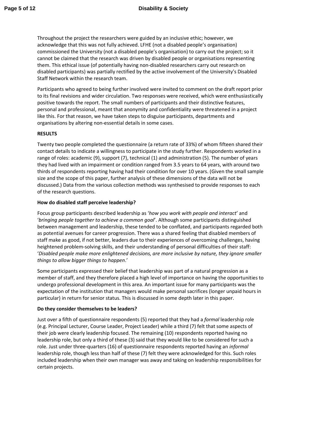Throughout the project the researchers were guided by an inclusive ethic; however, we acknowledge that this was not fully achieved. LFHE (not a disabled people's organisation) commissioned the University (not a disabled people's organisation) to carry out the project; so it cannot be claimed that the research was driven by disabled people or organisations representing them. This ethical issue (of potentially having non-disabled researchers carry out research on disabled participants) was partially rectified by the active involvement of the University's Disabled Staff Network within the research team.

Participants who agreed to being further involved were invited to comment on the draft report prior to its final revisions and wider circulation. Two responses were received, which were enthusiastically positive towards the report. The small numbers of participants and their distinctive features, personal and professional, meant that anonymity and confidentiality were threatened in a project like this. For that reason, we have taken steps to disguise participants, departments and organisations by altering non-essential details in some cases.

#### **RESULTS**

Twenty two people completed the questionnaire (a return rate of 33%) of whom fifteen shared their contact details to indicate a willingness to participate in the study further. Respondents worked in a range of roles: academic (9), support (7), technical (1) and administration (5). The number of years they had lived with an impairment or condition ranged from 3.5 years to 64 years, with around two thirds of respondents reporting having had their condition for over 10 years. (Given the small sample size and the scope of this paper, further analysis of these dimensions of the data will not be discussed.) Data from the various collection methods was synthesised to provide responses to each of the research questions.

#### **How do disabled staff perceive leadership?**

Focus group participants described leadership as '*how you work with people and interact*' and '*bringing people together to achieve a common goal*'. Although some participants distinguished between management and leadership, these tended to be conflated, and participants regarded both as potential avenues for career progression. There was a shared feeling that disabled members of staff make as good, if not better, leaders due to their experiences of overcoming challenges, having heightened problem-solving skills, and their understanding of personal difficulties of their staff: '*Disabled people make more enlightened decisions, are more inclusive by nature, they ignore smaller things to allow bigger things to happen*.'

Some participants expressed their belief that leadership was part of a natural progression as a member of staff, and they therefore placed a high level of importance on having the opportunities to undergo professional development in this area. An important issue for many participants was the expectation of the institution that managers would make personal sacrifices (longer unpaid hours in particular) in return for senior status. This is discussed in some depth later in this paper.

#### **Do they consider themselves to be leaders?**

Just over a fifth of questionnaire respondents (5) reported that they had a *formal* leadership role (e.g. Principal Lecturer, Course Leader, Project Leader) while a third (7) felt that some aspects of their job were clearly leadership focused. The remaining (10) respondents reported having no leadership role, but only a third of these (3) said that they would like to be considered for such a role. Just under three-quarters (16) of questionnaire respondents reported having an *informal* leadership role, though less than half of these (7) felt they were acknowledged for this. Such roles included leadership when their own manager was away and taking on leadership responsibilities for certain projects.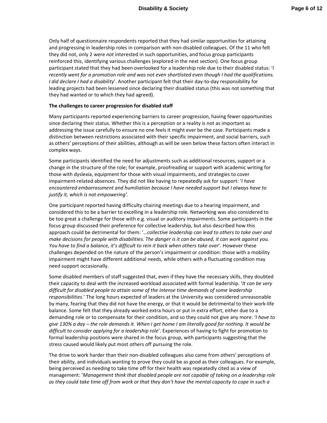Only half of questionnaire respondents reported that they had similar opportunities for attaining and progressing in leadership roles in comparison with non-disabled colleagues. Of the 11 who felt they did not, only 2 were *not* interested in such opportunities, and focus group participants reinforced this, identifying various challenges (explored in the next section). One focus group participant stated that they had been overlooked for a leadership role due to their disabled status: '*I recently went for a promotion role and was not even shortlisted even though I had the qualifications. I did declare I had a disability*'. Another participant felt that their day-to-day responsibility for leading projects had been lessened since declaring their disabled status (this was not something that they had wanted or to which they had agreed).

#### **The challenges to career progression for disabled staff**

Many participants reported experiencing barriers to career progression, having fewer opportunities since declaring their status. Whether this is a perception or a reality is not as important as addressing the issue carefully to ensure no one feels it might ever be the case. Participants made a distinction between restrictions associated with their specific impairment, and social barriers, such as others' perceptions of their abilities, although as will be seen below these factors often interact in complex ways.

Some participants identified the need for adjustments such as additional resources, support or a change in the structure of the role; for example, proofreading or support with academic writing for those with dyslexia, equipment for those with visual impairments, and strategies to cover impairment-related absences. They did not like having to repeatedly ask for support: '*I have encountered embarrassment and humiliation because I have needed support but I always have to justify it, which is not empowering'.* 

One participant reported having difficulty chairing meetings due to a hearing impairment, and considered this to be a barrier to excelling in a leadership role. Networking was also considered to be too great a challenge for those with e.g. visual or auditory impairments. Some participants in the focus group discussed their preference for collective leadership, but also described how this approach could be detrimental for them: '*…collective leadership can lead to others to take over and make decisions for people with disabilities. The danger is it can be abused, it can work against you. You have to find a balance, it's difficult to rein it back when others take over*'. However these challenges depended on the nature of the person's impairment or condition: those with a mobility impairment might have different additional needs, while others with a fluctuating condition may need support occasionally.

Some disabled members of staff suggested that, even if they have the necessary skills, they doubted their capacity to deal with the increased workload associated with formal leadership. '*It can be very difficult for disabled people to attain some of the intense time demands of some leadership responsibilities*.' The long hours expected of leaders at the University was considered unreasonable by many, fearing that they did not have the energy, or that it would be detrimental to their work-life balance. Some felt that they already worked extra hours or put in extra effort, either due to a demanding role or to compensate for their condition, and so they could not give any more: '*I have to give 130% a day – the role demands it. When I get home I am literally good for nothing. It would be difficult to consider applying for a leadership role*'. Experiences of having to fight for promotion to formal leadership positions were shared in the focus group, with participants suggesting that the stress caused would likely put most others off pursuing the role.

The drive to work harder than their non-disabled colleagues also came from others' perceptions of their ability, and individuals wanting to prove they could be as good as their colleagues. For example, being perceived as needing to take time off for their health was repeatedly cited as a view of management: '*Management think that disabled people are not capable of taking on a leadership role as they could take time off from work or that they don't have the mental capacity to cope in such a*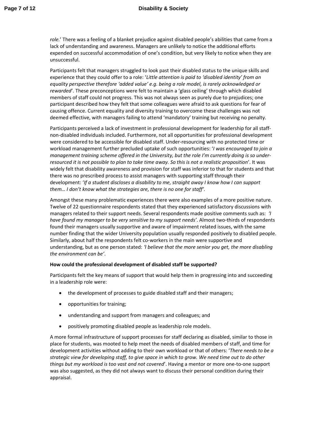*role.*' There was a feeling of a blanket prejudice against disabled people's abilities that came from a lack of understanding and awareness. Managers are unlikely to notice the additional efforts expended on successful accommodation of one's condition, but very likely to notice when they are unsuccessful.

Participants felt that managers struggled to look past their disabled status to the unique skills and experience that they could offer to a role: '*Little attention is paid to 'disabled identity' from an equality perspective therefore 'added value' e.g. being a role model, is rarely acknowledged or rewarded*'. These preconceptions were felt to maintain a 'glass ceiling' through which disabled members of staff could not progress. This was not always seen as purely due to prejudices; one participant described how they felt that some colleagues were afraid to ask questions for fear of causing offence. Current equality and diversity training to overcome these challenges was not deemed effective, with managers failing to attend 'mandatory' training but receiving no penalty.

Participants perceived a lack of investment in professional development for leadership for all staffnon-disabled individuals included. Furthermore, not all opportunities for professional development were considered to be accessible for disabled staff. Under-resourcing with no protected time or workload management further precluded uptake of such opportunities: '*I was encouraged to join a management training scheme offered in the University, but the role I'm currently doing is so underresourced it is not possible to plan to take time away. So this is not a realistic proposition*'. It was widely felt that disability awareness and provision for staff was inferior to that for students and that there was no prescribed process to assist managers with supporting staff through their development: '*If a student discloses a disability to me, straight away I know how I can support them… I don't know what the strategies are, there is no one for staff'*.

Amongst these many problematic experiences there were also examples of a more positive nature. Twelve of 22 questionnaire respondents stated that they experienced satisfactory discussions with managers related to their support needs. Several respondents made positive comments such as: *'I have found my manager to be very sensitive to my support needs'*. Almost two-thirds of respondents found their managers usually supportive and aware of impairment related issues, with the same number finding that the wider University population usually responded positively to disabled people. Similarly, about half the respondents felt co-workers in the main were supportive and understanding, but as one person stated: *'I believe that the more senior you get, the more disabling the environment can be'*.

#### **How could the professional development of disabled staff be supported?**

Participants felt the key means of support that would help them in progressing into and succeeding in a leadership role were:

- the development of processes to guide disabled staff and their managers;
- opportunities for training;
- understanding and support from managers and colleagues; and
- positively promoting disabled people as leadership role models.

A more formal infrastructure of support processes for staff declaring as disabled, similar to those in place for students, was mooted to help meet the needs of disabled members of staff, and time for development activities without adding to their own workload or that of others: '*There needs to be a strategic view for developing staff, to give space in which to grow. We need time out to do other things but my workload is too vast and not covered*'. Having a mentor or more one-to-one support was also suggested, as they did not always want to discuss their personal condition during their appraisal.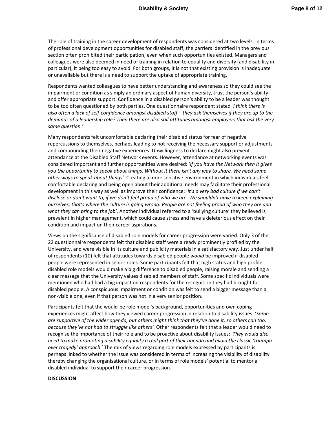The role of training in the career development of respondents was considered at two levels. In terms of professional development opportunities for disabled staff, the barriers identified in the previous section often prohibited their participation, even when such opportunities existed. Managers and colleagues were also deemed in need of training in relation to equality and diversity (and disability in particular), it being too easy to avoid. For both groups, it is not that existing provision is inadequate or unavailable but there is a need to support the uptake of appropriate training.

Respondents wanted colleagues to have better understanding and awareness so they could see the impairment or condition as simply an ordinary aspect of human diversity, trust the person's ability and offer appropriate support. Confidence in a disabled person's ability to be a leader was thought to be too often questioned by both parties. One questionnaire respondent stated *'I think there is also often a lack of self-confidence amongst disabled staff – they ask themselves if they are up to the demands of a leadership role? Then there are also still attitudes amongst employers that ask the very same question.'*

Many respondents felt uncomfortable declaring their disabled status for fear of negative repercussions to themselves, perhaps leading to not receiving the necessary support or adjustments and compounding their negative experiences. Unwillingness to declare might also prevent attendance at the Disabled Staff Network events. However, attendance at networking events was considered important and further opportunities were desired: '*If you have the Network then it gives you the opportunity to speak about things. Without it there isn't any way to share. We need some other ways to speak about things'.* Creating a more sensitive environment in which individuals feel comfortable declaring and being open about their additional needs may facilitate their professional development in this way as well as improve their confidence: '*It's a very bad culture if we can't disclose or don't want to, if we don't feel proud of who we are. We shouldn't have to keep explaining ourselves, that's where the culture is going wrong. People are not feeling proud of who they are and what they can bring to the job'.* Another individual referred to a 'bullying culture' they believed is prevalent in higher management, which could cause stress and have a deleterious effect on their condition and impact on their career aspirations.

Views on the significance of disabled role models for career progression were varied. Only 3 of the 22 questionnaire respondents felt that disabled staff were already prominently profiled by the University, and were visible in its culture and publicity materials in a satisfactory way. Just under half of respondents (10) felt that attitudes towards disabled people *would* be improved if disabled people were represented in senior roles. Some participants felt that high status and high profile disabled role models would make a big difference to disabled people, raising morale and sending a clear message that the University values disabled members of staff. Some specific individuals were mentioned who had had a big impact on respondents for the recognition they had brought for disabled people. A conspicuous impairment or condition was felt to send a bigger message than a non-visible one, even if that person was not in a very senior position.

Participants felt that the would-be role model's background, opportunities and own coping experiences might affect how they viewed career progression in relation to disability issues: '*Some are supportive of the wider agenda, but others might think that they've done it, so others can too, because they've not had to struggle like others'.* Other respondents felt that a leader would need to recognise the importance of their role and to be proactive about disability issues: '*They would also need to make promoting disability equality a real part of their agenda and avoid the classic 'triumph over tragedy' approach*.' The mix of views regarding role models expressed by participants is perhaps linked to whether the issue was considered in terms of increasing the visibility of disability thereby changing the organisational culture, or in terms of role models' potential to mentor a disabled individual to support their career progression.

#### **DISCUSSION**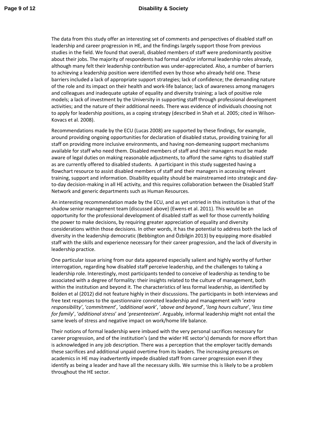The data from this study offer an interesting set of comments and perspectives of disabled staff on leadership and career progression in HE, and the findings largely support those from previous studies in the field. We found that overall, disabled members of staff were predominantly positive about their jobs. The majority of respondents had formal and/or informal leadership roles already, although many felt their leadership contribution was under-appreciated. Also, a number of barriers to achieving a leadership position were identified even by those who already held one. These barriers included a lack of appropriate support strategies; lack of confidence; the demanding nature of the role and its impact on their health and work-life balance; lack of awareness among managers and colleagues and inadequate uptake of equality and diversity training; a lack of positive role models; a lack of investment by the University in supporting staff through professional development activities; and the nature of their additional needs. There was evidence of individuals choosing not to apply for leadership positions, as a coping strategy (described in Shah et al. 2005; cited in Wilson-Kovacs et al. 2008).

Recommendations made by the ECU (Lucas 2008) are supported by these findings, for example, around providing ongoing opportunities for declaration of disabled status, providing training for all staff on providing more inclusive environments, and having non-demeaning support mechanisms available for staff who need them. Disabled members of staff and their managers must be made aware of legal duties on making reasonable adjustments, to afford the same rights to disabled staff as are currently offered to disabled students. A participant in this study suggested having a flowchart resource to assist disabled members of staff and their managers in accessing relevant training, support and information. Disability equality should be mainstreamed into strategic and dayto-day decision-making in all HE activity, and this requires collaboration between the Disabled Staff Network and generic departments such as Human Resources.

An interesting recommendation made by the ECU, and as yet untried in this institution is that of the shadow senior management team (discussed above) (Ewens et al. 2011). This would be an opportunity for the professional development of disabled staff as well for those currently holding the power to make decisions, by requiring greater appreciation of equality and diversity considerations within those decisions. In other words, it has the potential to address both the lack of diversity in the leadership democratic (Bebbington and Özbilgin 2013) by equipping more disabled staff with the skills and experience necessary for their career progression, and the lack of diversity in leadership practice.

One particular issue arising from our data appeared especially salient and highly worthy of further interrogation, regarding how disabled staff perceive leadership, and the challenges to taking a leadership role. Interestingly, most participants tended to conceive of leadership as tending to be associated with a degree of formality: their insights related to the culture of management, both within the institution and beyond it. The characteristics of less formal leadership, as identified by Bolden et al (2012) did not feature highly in their discussions. The participants in both interviews and free text responses to the questionnaire connoted leadership and management with '*extra responsibility'*, '*commitment*', '*additional work*', '*above and beyond*', '*long hours culture*', '*less time for family*', '*additional stress*' and '*presenteeism*'. Arguably, informal leadership might not entail the same levels of stress and negative impact on work/home life balance.

Their notions of formal leadership were imbued with the very personal sacrifices necessary for career progression, and of the institution's (and the wider HE sector's) demands for more effort than is acknowledged in any job description. There was a perception that the employer tacitly demands these sacrifices and additional unpaid overtime from its leaders. The increasing pressures on academics in HE may inadvertently impede disabled staff from career progression even if they identify as being a leader and have all the necessary skills. We surmise this is likely to be a problem throughout the HE sector.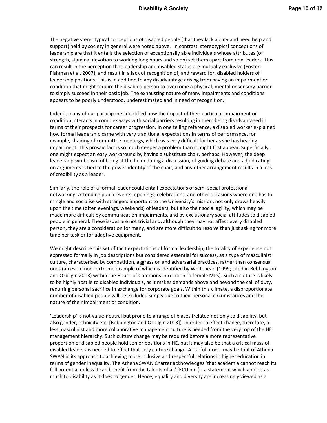The negative stereotypical conceptions of disabled people (that they lack ability and need help and support) held by society in general were noted above. In contrast, stereotypical conceptions of leadership are that it entails the selection of exceptionally able individuals whose attributes (of strength, stamina, devotion to working long hours and so on) set them apart from non-leaders. This can result in the perception that leadership and disabled status are mutually exclusive (Foster-Fishman et al. 2007), and result in a lack of recognition of, and reward for, disabled holders of leadership positions. This is in addition to any disadvantage arising from having an impairment or condition that might require the disabled person to overcome a physical, mental or sensory barrier to simply succeed in their basic job. The exhausting nature of many impairments and conditions appears to be poorly understood, underestimated and in need of recognition.

Indeed, many of our participants identified how the impact of their particular impairment or condition interacts in complex ways with social barriers resulting in them being disadvantaged in terms of their prospects for career progression. In one telling reference, a disabled worker explained how formal leadership came with very traditional expectations in terms of performance, for example, chairing of committee meetings, which was very difficult for her as she has hearing impairment. This prosaic fact is so much deeper a problem than it might first appear. Superficially, one might expect an easy workaround by having a substitute chair, perhaps. However, the deep leadership symbolism of being at the helm during a discussion, of guiding debate and adjudicating on arguments is tied to the power-identity of the chair, and any other arrangement results in a loss of credibility as a leader.

Similarly, the role of a formal leader could entail expectations of semi-social professional networking. Attending public events, openings, celebrations, and other occasions where one has to mingle and socialise with strangers important to the University's mission, not only draws heavily upon the time (often evenings, weekends) of leaders, but also their social agility, which may be made more difficult by communication impairments, and by exclusionary social attitudes to disabled people in general. These issues are not trivial and, although they may not affect every disabled person, they are a consideration for many, and are more difficult to resolve than just asking for more time per task or for adaptive equipment.

We might describe this set of tacit expectations of formal leadership, the totality of experience not expressed formally in job descriptions but considered essential for success, as a type of masculinist culture, characterised by competition, aggression and adversarial practices, rather than consensual ones (an even more extreme example of which is identified by Whitehead (1999; cited in Bebbington and Özbilgin 2013) within the House of Commons in relation to female MPs). Such a culture is likely to be highly hostile to disabled individuals, as it makes demands above and beyond the call of duty, requiring personal sacrifice in exchange for corporate goals. Within this climate, a disproportionate number of disabled people will be excluded simply due to their personal circumstances and the nature of their impairment or condition.

'Leadership' is not value-neutral but prone to a range of biases (related not only to disability, but also gender, ethnicity etc. [Bebbington and Özbilgin 2013]). In order to effect change, therefore, a less masculinist and more collaborative management culture is needed from the very top of the HE management hierarchy. Such culture change may be required before a more representative proportion of disabled people hold senior positions in HE, but it may also be that a critical mass of disabled leaders is needed to effect that very culture change. A useful model may be that of Athena SWAN in its approach to achieving more inclusive and respectful relations in higher education in terms of gender inequality. The Athena SWAN Charter acknowledges 'that academia cannot reach its full potential unless it can benefit from the talents of all' (ECU n.d.) - a statement which applies as much to disability as it does to gender. Hence, equality and diversity are increasingly viewed as a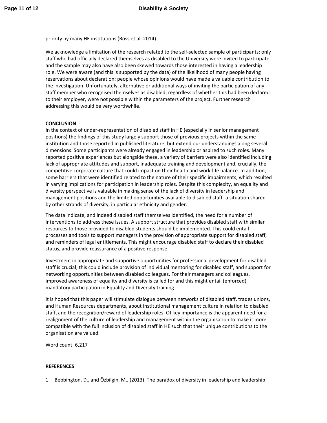priority by many HE institutions (Ross et al. 2014).

We acknowledge a limitation of the research related to the self-selected sample of participants: only staff who had officially declared themselves as disabled to the University were invited to participate, and the sample may also have also been skewed towards those interested in having a leadership role. We were aware (and this is supported by the data) of the likelihood of many people having reservations about declaration: people whose opinions would have made a valuable contribution to the investigation. Unfortunately, alternative or additional ways of inviting the participation of any staff member who recognised themselves as disabled, regardless of whether this had been declared to their employer, were not possible within the parameters of the project. Further research addressing this would be very worthwhile.

#### **CONCLUSION**

In the context of under-representation of disabled staff in HE (especially in senior management positions) the findings of this study largely support those of previous projects within the same institution and those reported in published literature, but extend our understandings along several dimensions. Some participants were already engaged in leadership or aspired to such roles. Many reported positive experiences but alongside these, a variety of barriers were also identified including lack of appropriate attitudes and support, inadequate training and development and, crucially, the competitive corporate culture that could impact on their health and work-life balance. In addition, some barriers that were identified related to the nature of their specific impairments, which resulted in varying implications for participation in leadership roles. Despite this complexity, an equality and diversity perspective is valuable in making sense of the lack of diversity in leadership and management positions and the limited opportunities available to disabled staff- a situation shared by other strands of diversity, in particular ethnicity and gender.

The data indicate, and indeed disabled staff themselves identified, the need for a number of interventions to address these issues. A support structure that provides disabled staff with similar resources to those provided to disabled students should be implemented. This could entail processes and tools to support managers in the provision of appropriate support for disabled staff, and reminders of legal entitlements. This might encourage disabled staff to declare their disabled status, and provide reassurance of a positive response.

Investment in appropriate and supportive opportunities for professional development for disabled staff is crucial; this could include provision of individual mentoring for disabled staff, and support for networking opportunities between disabled colleagues. For their managers and colleagues, improved awareness of equality and diversity is called for and this might entail (enforced) mandatory participation in Equality and Diversity training.

It is hoped that this paper will stimulate dialogue between networks of disabled staff, trades unions, and Human Resources departments, about institutional management culture in relation to disabled staff, and the recognition/reward of leadership roles. Of key importance is the apparent need for a realignment of the culture of leadership and management within the organisation to make it more compatible with the full inclusion of disabled staff in HE such that their unique contributions to the organisation are valued.

Word count: 6,217

#### **REFERENCES**

1. Bebbington, D., and Özbilgin, M., (2013). The paradox of diversity in leadership and leadership